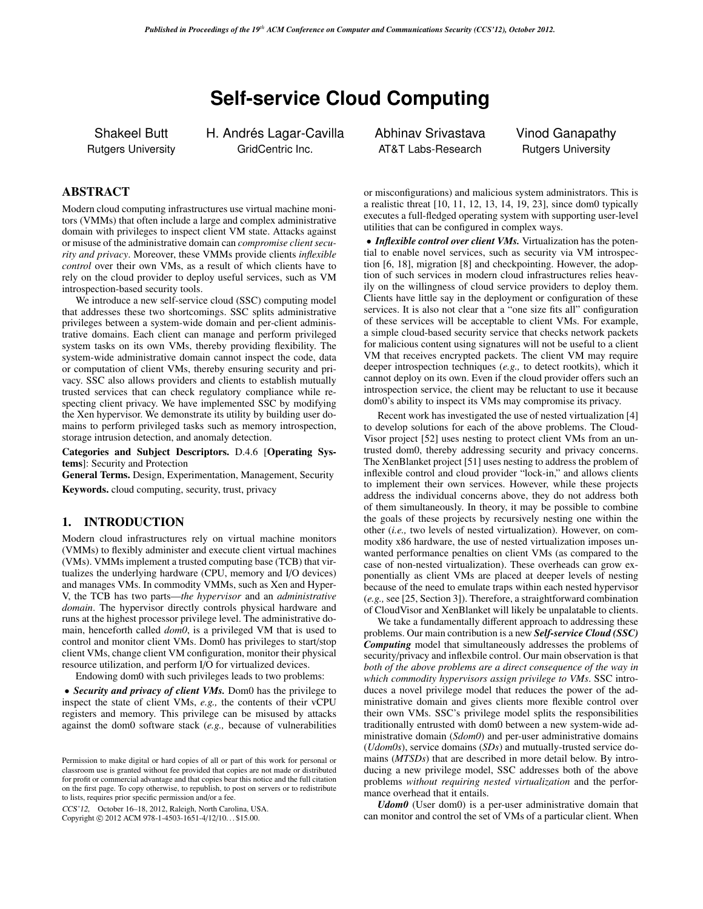# **Self-service Cloud Computing**

Shakeel Butt H. Andrés Lagar-Cavilla Abhinav Srivastava Vinod Ganapathy Rutgers University **GridCentric Inc.** AT&T Labs-Research **Rutgers University** Rutgers University

# ABSTRACT

Modern cloud computing infrastructures use virtual machine monitors (VMMs) that often include a large and complex administrative domain with privileges to inspect client VM state. Attacks against or misuse of the administrative domain can *compromise client security and privacy*. Moreover, these VMMs provide clients *inflexible control* over their own VMs, as a result of which clients have to rely on the cloud provider to deploy useful services, such as VM introspection-based security tools.

We introduce a new self-service cloud (SSC) computing model that addresses these two shortcomings. SSC splits administrative privileges between a system-wide domain and per-client administrative domains. Each client can manage and perform privileged system tasks on its own VMs, thereby providing flexibility. The system-wide administrative domain cannot inspect the code, data or computation of client VMs, thereby ensuring security and privacy. SSC also allows providers and clients to establish mutually trusted services that can check regulatory compliance while respecting client privacy. We have implemented SSC by modifying the Xen hypervisor. We demonstrate its utility by building user domains to perform privileged tasks such as memory introspection, storage intrusion detection, and anomaly detection.

Categories and Subject Descriptors. D.4.6 [Operating Systems]: Security and Protection

General Terms. Design, Experimentation, Management, Security Keywords. cloud computing, security, trust, privacy

#### 1. INTRODUCTION

Modern cloud infrastructures rely on virtual machine monitors (VMMs) to flexibly administer and execute client virtual machines (VMs). VMMs implement a trusted computing base (TCB) that virtualizes the underlying hardware (CPU, memory and I/O devices) and manages VMs. In commodity VMMs, such as Xen and Hyper-V, the TCB has two parts—*the hypervisor* and an *administrative domain*. The hypervisor directly controls physical hardware and runs at the highest processor privilege level. The administrative domain, henceforth called *dom0*, is a privileged VM that is used to control and monitor client VMs. Dom0 has privileges to start/stop client VMs, change client VM configuration, monitor their physical resource utilization, and perform I/O for virtualized devices.

Endowing dom0 with such privileges leads to two problems:

• *Security and privacy of client VMs.* Dom0 has the privilege to inspect the state of client VMs, *e.g.,* the contents of their vCPU registers and memory. This privilege can be misused by attacks against the dom0 software stack (*e.g.,* because of vulnerabilities

CCS'12, October 16–18, 2012, Raleigh, North Carolina, USA. Copyright © 2012 ACM 978-1-4503-1651-4/12/10... \$15.00.

or misconfigurations) and malicious system administrators. This is a realistic threat [\[10,](#page-11-0) [11,](#page-11-1) [12,](#page-11-2) [13,](#page-11-3) [14,](#page-11-4) [19,](#page-11-5) [23\]](#page-11-6), since dom0 typically executes a full-fledged operating system with supporting user-level utilities that can be configured in complex ways.

• *Inflexible control over client VMs.* Virtualization has the potential to enable novel services, such as security via VM introspection [\[6,](#page-11-7) [18\]](#page-11-8), migration [\[8\]](#page-11-9) and checkpointing. However, the adoption of such services in modern cloud infrastructures relies heavily on the willingness of cloud service providers to deploy them. Clients have little say in the deployment or configuration of these services. It is also not clear that a "one size fits all" configuration of these services will be acceptable to client VMs. For example, a simple cloud-based security service that checks network packets for malicious content using signatures will not be useful to a client VM that receives encrypted packets. The client VM may require deeper introspection techniques (*e.g.,* to detect rootkits), which it cannot deploy on its own. Even if the cloud provider offers such an introspection service, the client may be reluctant to use it because dom0's ability to inspect its VMs may compromise its privacy.

Recent work has investigated the use of nested virtualization [\[4\]](#page-11-10) to develop solutions for each of the above problems. The Cloud-Visor project [\[52\]](#page-11-11) uses nesting to protect client VMs from an untrusted dom0, thereby addressing security and privacy concerns. The XenBlanket project [\[51\]](#page-11-12) uses nesting to address the problem of inflexible control and cloud provider "lock-in," and allows clients to implement their own services. However, while these projects address the individual concerns above, they do not address both of them simultaneously. In theory, it may be possible to combine the goals of these projects by recursively nesting one within the other (*i.e.,* two levels of nested virtualization). However, on commodity x86 hardware, the use of nested virtualization imposes unwanted performance penalties on client VMs (as compared to the case of non-nested virtualization). These overheads can grow exponentially as client VMs are placed at deeper levels of nesting because of the need to emulate traps within each nested hypervisor (*e.g.,* see [\[25,](#page-11-13) Section 3]). Therefore, a straightforward combination of CloudVisor and XenBlanket will likely be unpalatable to clients.

We take a fundamentally different approach to addressing these problems. Our main contribution is a new *Self-service Cloud (SSC) Computing* model that simultaneously addresses the problems of security/privacy and inflexbile control. Our main observation is that *both of the above problems are a direct consequence of the way in which commodity hypervisors assign privilege to VMs*. SSC introduces a novel privilege model that reduces the power of the administrative domain and gives clients more flexible control over their own VMs. SSC's privilege model splits the responsibilities traditionally entrusted with dom0 between a new system-wide administrative domain (*Sdom0*) and per-user administrative domains (*Udom0s*), service domains (*SDs*) and mutually-trusted service domains (*MTSDs*) that are described in more detail below. By introducing a new privilege model, SSC addresses both of the above problems *without requiring nested virtualization* and the performance overhead that it entails.

*Udom0* (User dom0) is a per-user administrative domain that can monitor and control the set of VMs of a particular client. When

Permission to make digital or hard copies of all or part of this work for personal or classroom use is granted without fee provided that copies are not made or distributed for profit or commercial advantage and that copies bear this notice and the full citation on the first page. To copy otherwise, to republish, to post on servers or to redistribute to lists, requires prior specific permission and/or a fee.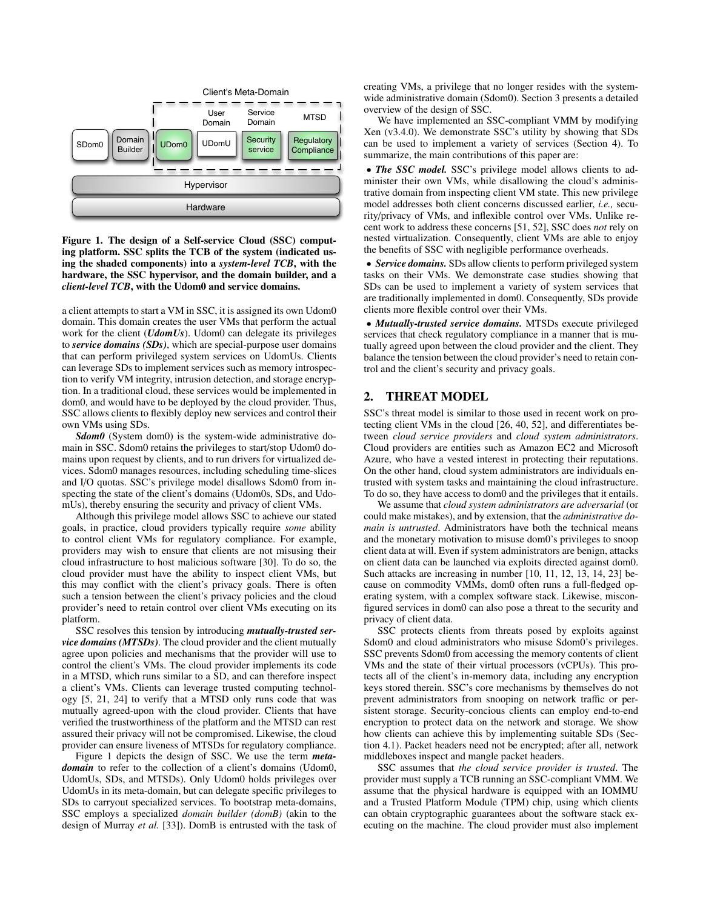

<span id="page-1-0"></span>Figure 1. The design of a Self-service Cloud (SSC) computing platform. SSC splits the TCB of the system (indicated using the shaded components) into a *system-level TCB*, with the hardware, the SSC hypervisor, and the domain builder, and a *client-level TCB*, with the Udom0 and service domains.

a client attempts to start a VM in SSC, it is assigned its own Udom0 domain. This domain creates the user VMs that perform the actual work for the client (*UdomUs*). Udom0 can delegate its privileges to *service domains (SDs)*, which are special-purpose user domains that can perform privileged system services on UdomUs. Clients can leverage SDs to implement services such as memory introspection to verify VM integrity, intrusion detection, and storage encryption. In a traditional cloud, these services would be implemented in dom0, and would have to be deployed by the cloud provider. Thus, SSC allows clients to flexibly deploy new services and control their own VMs using SDs.

*Sdom0* (System dom0) is the system-wide administrative domain in SSC. Sdom0 retains the privileges to start/stop Udom0 domains upon request by clients, and to run drivers for virtualized devices. Sdom0 manages resources, including scheduling time-slices and I/O quotas. SSC's privilege model disallows Sdom0 from inspecting the state of the client's domains (Udom0s, SDs, and UdomUs), thereby ensuring the security and privacy of client VMs.

Although this privilege model allows SSC to achieve our stated goals, in practice, cloud providers typically require *some* ability to control client VMs for regulatory compliance. For example, providers may wish to ensure that clients are not misusing their cloud infrastructure to host malicious software [\[30\]](#page-11-14). To do so, the cloud provider must have the ability to inspect client VMs, but this may conflict with the client's privacy goals. There is often such a tension between the client's privacy policies and the cloud provider's need to retain control over client VMs executing on its platform.

SSC resolves this tension by introducing *mutually-trusted service domains (MTSDs)*. The cloud provider and the client mutually agree upon policies and mechanisms that the provider will use to control the client's VMs. The cloud provider implements its code in a MTSD, which runs similar to a SD, and can therefore inspect a client's VMs. Clients can leverage trusted computing technology [\[5,](#page-11-15) [21,](#page-11-16) [24\]](#page-11-17) to verify that a MTSD only runs code that was mutually agreed-upon with the cloud provider. Clients that have verified the trustworthiness of the platform and the MTSD can rest assured their privacy will not be compromised. Likewise, the cloud provider can ensure liveness of MTSDs for regulatory compliance.

Figure [1](#page-1-0) depicts the design of SSC. We use the term *metadomain* to refer to the collection of a client's domains (Udom0, UdomUs, SDs, and MTSDs). Only Udom0 holds privileges over UdomUs in its meta-domain, but can delegate specific privileges to SDs to carryout specialized services. To bootstrap meta-domains, SSC employs a specialized *domain builder (domB)* (akin to the design of Murray *et al.* [\[33\]](#page-11-18)). DomB is entrusted with the task of creating VMs, a privilege that no longer resides with the systemwide administrative domain (Sdom0). Section [3](#page-2-0) presents a detailed overview of the design of SSC.

We have implemented an SSC-compliant VMM by modifying Xen (v3.4.0). We demonstrate SSC's utility by showing that SDs can be used to implement a variety of services (Section [4\)](#page-6-0). To summarize, the main contributions of this paper are:

• *The SSC model.* SSC's privilege model allows clients to administer their own VMs, while disallowing the cloud's administrative domain from inspecting client VM state. This new privilege model addresses both client concerns discussed earlier, *i.e.,* security/privacy of VMs, and inflexible control over VMs. Unlike recent work to address these concerns [\[51,](#page-11-12) [52\]](#page-11-11), SSC does *not* rely on nested virtualization. Consequently, client VMs are able to enjoy the benefits of SSC with negligible performance overheads.

• *Service domains*. SDs allow clients to perform privileged system tasks on their VMs. We demonstrate case studies showing that SDs can be used to implement a variety of system services that are traditionally implemented in dom0. Consequently, SDs provide clients more flexible control over their VMs.

• *Mutually-trusted service domains.* MTSDs execute privileged services that check regulatory compliance in a manner that is mutually agreed upon between the cloud provider and the client. They balance the tension between the cloud provider's need to retain control and the client's security and privacy goals.

# <span id="page-1-1"></span>2. THREAT MODEL

SSC's threat model is similar to those used in recent work on protecting client VMs in the cloud [\[26,](#page-11-19) [40,](#page-11-20) [52\]](#page-11-11), and differentiates between *cloud service providers* and *cloud system administrators*. Cloud providers are entities such as Amazon EC2 and Microsoft Azure, who have a vested interest in protecting their reputations. On the other hand, cloud system administrators are individuals entrusted with system tasks and maintaining the cloud infrastructure. To do so, they have access to dom0 and the privileges that it entails.

We assume that *cloud system administrators are adversarial* (or could make mistakes), and by extension, that the *administrative domain is untrusted*. Administrators have both the technical means and the monetary motivation to misuse dom0's privileges to snoop client data at will. Even if system administrators are benign, attacks on client data can be launched via exploits directed against dom0. Such attacks are increasing in number [\[10,](#page-11-0) [11,](#page-11-1) [12,](#page-11-2) [13,](#page-11-3) [14,](#page-11-4) [23\]](#page-11-6) because on commodity VMMs, dom0 often runs a full-fledged operating system, with a complex software stack. Likewise, misconfigured services in dom0 can also pose a threat to the security and privacy of client data.

SSC protects clients from threats posed by exploits against Sdom0 and cloud administrators who misuse Sdom0's privileges. SSC prevents Sdom0 from accessing the memory contents of client VMs and the state of their virtual processors (vCPUs). This protects all of the client's in-memory data, including any encryption keys stored therein. SSC's core mechanisms by themselves do not prevent administrators from snooping on network traffic or persistent storage. Security-concious clients can employ end-to-end encryption to protect data on the network and storage. We show how clients can achieve this by implementing suitable SDs (Section [4.1\)](#page-6-1). Packet headers need not be encrypted; after all, network middleboxes inspect and mangle packet headers.

SSC assumes that *the cloud service provider is trusted*. The provider must supply a TCB running an SSC-compliant VMM. We assume that the physical hardware is equipped with an IOMMU and a Trusted Platform Module (TPM) chip, using which clients can obtain cryptographic guarantees about the software stack executing on the machine. The cloud provider must also implement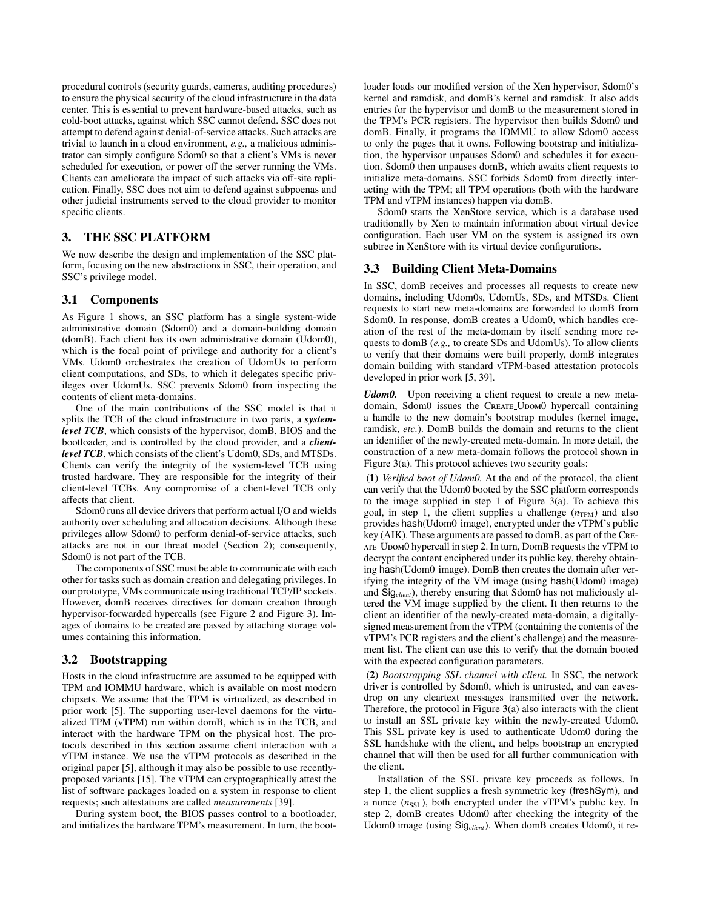procedural controls (security guards, cameras, auditing procedures) to ensure the physical security of the cloud infrastructure in the data center. This is essential to prevent hardware-based attacks, such as cold-boot attacks, against which SSC cannot defend. SSC does not attempt to defend against denial-of-service attacks. Such attacks are trivial to launch in a cloud environment, *e.g.,* a malicious administrator can simply configure Sdom0 so that a client's VMs is never scheduled for execution, or power off the server running the VMs. Clients can ameliorate the impact of such attacks via off-site replication. Finally, SSC does not aim to defend against subpoenas and other judicial instruments served to the cloud provider to monitor specific clients.

# <span id="page-2-0"></span>3. THE SSC PLATFORM

We now describe the design and implementation of the SSC platform, focusing on the new abstractions in SSC, their operation, and SSC's privilege model.

# 3.1 Components

As Figure [1](#page-1-0) shows, an SSC platform has a single system-wide administrative domain (Sdom0) and a domain-building domain (domB). Each client has its own administrative domain (Udom0), which is the focal point of privilege and authority for a client's VMs. Udom0 orchestrates the creation of UdomUs to perform client computations, and SDs, to which it delegates specific privileges over UdomUs. SSC prevents Sdom0 from inspecting the contents of client meta-domains.

One of the main contributions of the SSC model is that it splits the TCB of the cloud infrastructure in two parts, a *systemlevel TCB*, which consists of the hypervisor, domB, BIOS and the bootloader, and is controlled by the cloud provider, and a *clientlevel TCB*, which consists of the client's Udom0, SDs, and MTSDs. Clients can verify the integrity of the system-level TCB using trusted hardware. They are responsible for the integrity of their client-level TCBs. Any compromise of a client-level TCB only affects that client.

Sdom0 runs all device drivers that perform actual I/O and wields authority over scheduling and allocation decisions. Although these privileges allow Sdom0 to perform denial-of-service attacks, such attacks are not in our threat model (Section [2\)](#page-1-1); consequently, Sdom0 is not part of the TCB.

The components of SSC must be able to communicate with each other for tasks such as domain creation and delegating privileges. In our prototype, VMs communicate using traditional TCP/IP sockets. However, domB receives directives for domain creation through hypervisor-forwarded hypercalls (see Figure [2](#page-3-0) and Figure [3\)](#page-3-1). Images of domains to be created are passed by attaching storage volumes containing this information.

# <span id="page-2-1"></span>3.2 Bootstrapping

Hosts in the cloud infrastructure are assumed to be equipped with TPM and IOMMU hardware, which is available on most modern chipsets. We assume that the TPM is virtualized, as described in prior work [\[5\]](#page-11-15). The supporting user-level daemons for the virtualized TPM (vTPM) run within domB, which is in the TCB, and interact with the hardware TPM on the physical host. The protocols described in this section assume client interaction with a vTPM instance. We use the vTPM protocols as described in the original paper [\[5\]](#page-11-15), although it may also be possible to use recentlyproposed variants [\[15\]](#page-11-21). The vTPM can cryptographically attest the list of software packages loaded on a system in response to client requests; such attestations are called *measurements* [\[39\]](#page-11-22).

During system boot, the BIOS passes control to a bootloader, and initializes the hardware TPM's measurement. In turn, the bootloader loads our modified version of the Xen hypervisor, Sdom0's kernel and ramdisk, and domB's kernel and ramdisk. It also adds entries for the hypervisor and domB to the measurement stored in the TPM's PCR registers. The hypervisor then builds Sdom0 and domB. Finally, it programs the IOMMU to allow Sdom0 access to only the pages that it owns. Following bootstrap and initialization, the hypervisor unpauses Sdom0 and schedules it for execution. Sdom0 then unpauses domB, which awaits client requests to initialize meta-domains. SSC forbids Sdom0 from directly interacting with the TPM; all TPM operations (both with the hardware TPM and vTPM instances) happen via domB.

Sdom0 starts the XenStore service, which is a database used traditionally by Xen to maintain information about virtual device configuration. Each user VM on the system is assigned its own subtree in XenStore with its virtual device configurations.

#### 3.3 Building Client Meta-Domains

In SSC, domB receives and processes all requests to create new domains, including Udom0s, UdomUs, SDs, and MTSDs. Client requests to start new meta-domains are forwarded to domB from Sdom0. In response, domB creates a Udom0, which handles creation of the rest of the meta-domain by itself sending more requests to domB (*e.g.,* to create SDs and UdomUs). To allow clients to verify that their domains were built properly, domB integrates domain building with standard vTPM-based attestation protocols developed in prior work [\[5,](#page-11-15) [39\]](#page-11-22).

*Udom0.* Upon receiving a client request to create a new metadomain, Sdom0 issues the CREATE\_UDOM0 hypercall containing a handle to the new domain's bootstrap modules (kernel image, ramdisk, *etc.*). DomB builds the domain and returns to the client an identifier of the newly-created meta-domain. In more detail, the construction of a new meta-domain follows the protocol shown in Figure [3\(](#page-3-1)a). This protocol achieves two security goals:

(1) *Verified boot of Udom0.* At the end of the protocol, the client can verify that the Udom0 booted by the SSC platform corresponds to the image supplied in step 1 of Figure [3\(](#page-3-1)a). To achieve this goal, in step 1, the client supplies a challenge  $(n_{TPM})$  and also provides hash(Udom0 image), encrypted under the vTPM's public key (AIK). These arguments are passed to domB, as part of the CRE-ATE\_UDOMO hypercall in step 2. In turn, DomB requests the vTPM to decrypt the content enciphered under its public key, thereby obtaining hash(Udom0\_image). DomB then creates the domain after verifying the integrity of the VM image (using hash(Udom0 image) and Sig*client*), thereby ensuring that Sdom0 has not maliciously altered the VM image supplied by the client. It then returns to the client an identifier of the newly-created meta-domain, a digitallysigned measurement from the vTPM (containing the contents of the vTPM's PCR registers and the client's challenge) and the measurement list. The client can use this to verify that the domain booted with the expected configuration parameters.

(2) *Bootstrapping SSL channel with client.* In SSC, the network driver is controlled by Sdom0, which is untrusted, and can eavesdrop on any cleartext messages transmitted over the network. Therefore, the protocol in Figure [3\(](#page-3-1)a) also interacts with the client to install an SSL private key within the newly-created Udom0. This SSL private key is used to authenticate Udom0 during the SSL handshake with the client, and helps bootstrap an encrypted channel that will then be used for all further communication with the client.

Installation of the SSL private key proceeds as follows. In step 1, the client supplies a fresh symmetric key (freshSym), and a nonce ( $n_{\text{SSL}}$ ), both encrypted under the vTPM's public key. In step 2, domB creates Udom0 after checking the integrity of the Udom0 image (using Sig*client*). When domB creates Udom0, it re-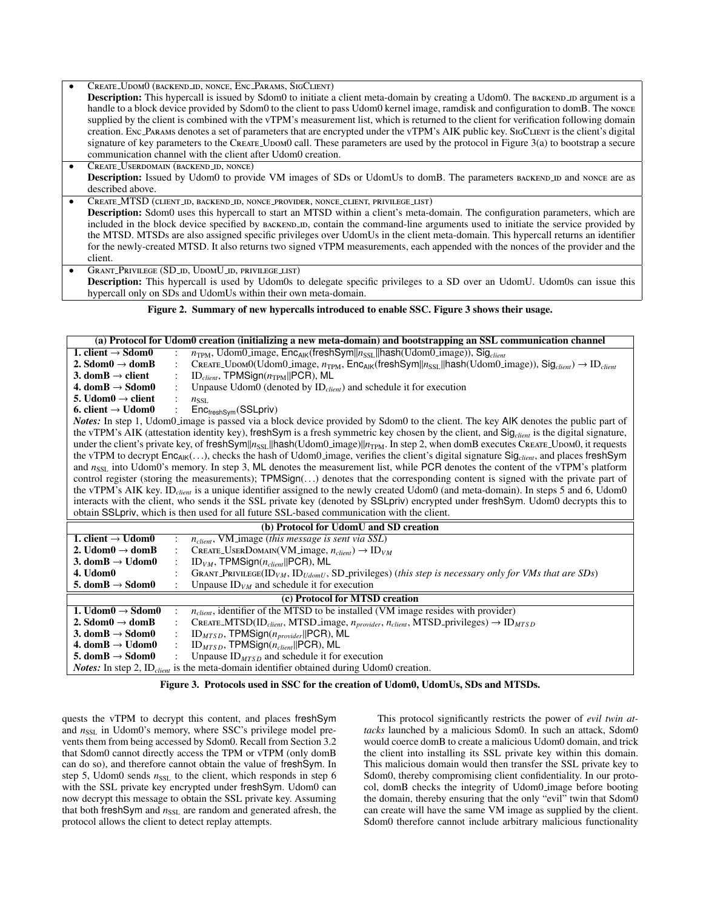CREATE\_UDOMO (BACKEND\_ID, NONCE, ENC\_PARAMS, SIGCLIENT) Description: This hypercall is issued by Sdom0 to initiate a client meta-domain by creating a Udom0. The BACKEND ID argument is a handle to a block device provided by Sdom0 to the client to pass Udom0 kernel image, ramdisk and configuration to domB. The nonce supplied by the client is combined with the vTPM's measurement list, which is returned to the client for verification following domain creation. ENC\_PARAMS denotes a set of parameters that are encrypted under the vTPM's AIK public key. SIGCLIENT is the client's digital signature of key parameters to the CREATE\_UDOMO call. These parameters are used by the protocol in Figure  $3(a)$  $3(a)$  to bootstrap a secure communication channel with the client after Udom0 creation. CREATE\_USERDOMAIN (BACKEND\_ID, NONCE) Description: Issued by Udom0 to provide VM images of SDs or UdomUs to domB. The parameters BACKEND\_ID and NONCE are as described above. • CREATE\_MTSD (CLIENT\_ID, BACKEND\_ID, NONCE\_PROVIDER, NONCE\_CLIENT, PRIVILEGE\_LIST) Description: Sdom0 uses this hypercall to start an MTSD within a client's meta-domain. The configuration parameters, which are included in the block device specified by BACKEND\_ID, contain the command-line arguments used to initiate the service provided by the MTSD. MTSDs are also assigned specific privileges over UdomUs in the client meta-domain. This hypercall returns an identifier for the newly-created MTSD. It also returns two signed vTPM measurements, each appended with the nonces of the provider and the client. GRANT\_PRIVILEGE (SD\_ID, UDOMU\_ID, PRIVILEGE\_LIST)

Description: This hypercall is used by Udom0s to delegate specific privileges to a SD over an UdomU. Udom0s can issue this hypercall only on SDs and UdomUs within their own meta-domain.

#### <span id="page-3-0"></span>Figure 2. Summary of new hypercalls introduced to enable SSC. Figure [3](#page-3-1) shows their usage.

|                                               | (a) Protocol for Udom0 creation (initializing a new meta-domain) and bootstrapping an SSL communication channel                                                    |  |  |  |
|-----------------------------------------------|--------------------------------------------------------------------------------------------------------------------------------------------------------------------|--|--|--|
| 1. client $\rightarrow$ Sdom0                 | $n_{TPM}$ , Udom0_image, $Enc_{AJK}(freshSym  n_{SSL}  hash(Udom0\_image))$ , Sig <sub>client</sub>                                                                |  |  |  |
| 2. Sdom $0 \rightarrow$ domB                  | $C$ REATE_UDOMO(UdomO_image, $n_{TPM}$ , Enc <sub>AlK</sub> (freshSym   $n_{SSL}$   hash(UdomO_image)), Sig <sub>client</sub> ) $\rightarrow$ ID <sub>client</sub> |  |  |  |
| 3. domB $\rightarrow$ client                  | $ID_{client}$ , TPMSign( $n_{TPM}$   PCR), ML<br>$\ddot{\cdot}$                                                                                                    |  |  |  |
| 4. domB $\rightarrow$ Sdom0<br>$\ddot{\cdot}$ | Unpause Udom0 (denoted by $ID_{client}$ ) and schedule it for execution                                                                                            |  |  |  |
| 5. Udom $0 \rightarrow$ client                | $n_{\rm SSL}$                                                                                                                                                      |  |  |  |
| 6. client $\rightarrow$ Udom0                 | Enc <sub>freshSym</sub> (SSLpriv)                                                                                                                                  |  |  |  |
|                                               | <b>Notes:</b> In step 1, Udom0_image is passed via a block device provided by Sdom0 to the client. The key AlK denotes the public part of                          |  |  |  |
|                                               | the vTPM's AIK (attestation identity key), freshSym is a fresh symmetric key chosen by the client, and $Sig_{client}$ is the digital signature,                    |  |  |  |
|                                               | under the client's private key, of freshSym   $n_{\text{SSL}}$   hash(Udom0_image)   $n_{\text{TPM}}$ . In step 2, when domB executes Creare_Upom0, it requests    |  |  |  |
|                                               | the vTPM to decrypt $Enc_{A K}()$ , checks the hash of Udom0_image, verifies the client's digital signature $Sig_{client}$ , and places freshSym                   |  |  |  |
|                                               | and $n_{\text{SSL}}$ into Udom0's memory. In step 3, ML denotes the measurement list, while PCR denotes the content of the vTPM's platform                         |  |  |  |
|                                               | control register (storing the measurements); $TPMSign()$ denotes that the corresponding content is signed with the private part of                                 |  |  |  |
|                                               | the vTPM's AIK key. ID <sub>client</sub> is a unique identifier assigned to the newly created Udom0 (and meta-domain). In steps 5 and 6, Udom0                     |  |  |  |
|                                               | interacts with the client, who sends it the SSL private key (denoted by SSLpriv) encrypted under freshSym. Udom0 decrypts this to                                  |  |  |  |
|                                               | obtain SSLpriv, which is then used for all future SSL-based communication with the client.                                                                         |  |  |  |
|                                               | (b) Protocol for UdomU and SD creation                                                                                                                             |  |  |  |
| 1. client $\rightarrow$ Udom0                 | n <sub>client</sub> , VM_image (this message is sent via SSL)                                                                                                      |  |  |  |
| 2. Udom $0 \rightarrow$ domB                  | CREATE_USERDOMAIN(VM_image, $n_{client}$ ) $\rightarrow$ ID <sub>VM</sub>                                                                                          |  |  |  |
| 3. domB $\rightarrow$ Udom0                   | $ID_{VM}$ , TPMSign( $n_{client}$   PCR), ML                                                                                                                       |  |  |  |
| 4. Udom0                                      | GRANT_PRIVILEGE(ID <sub>VM</sub> , ID <sub>UdomU</sub> , SD_privileges) (this step is necessary only for VMs that are SDs)                                         |  |  |  |
| 5. domB $\rightarrow$ Sdom0                   | Unpause $ID_{VM}$ and schedule it for execution                                                                                                                    |  |  |  |
| (c) Protocol for MTSD creation                |                                                                                                                                                                    |  |  |  |
| 1. Udom $0 \rightarrow$ Sdom $0$              | $n_{client}$ , identifier of the MTSD to be installed (VM image resides with provider)                                                                             |  |  |  |
| 2. Sdom $0 \rightarrow$ domB                  | CREATE_MTSD(ID <sub>client</sub> , MTSD_image, $n_{\text{provider}}$ , $n_{\text{client}}$ , MTSD_privileges) $\rightarrow$ ID <sub>MTSD</sub>                     |  |  |  |
| 3. domB $\rightarrow$ Sdom0                   | $ID_{MTSD}$ , TPMSign( $n_{provider}$   PCR), ML                                                                                                                   |  |  |  |
| 4. dom $B \rightarrow U$ dom $0$              | $ID_{MTSD}$ , TPMSign( $n_{client}$   PCR), ML                                                                                                                     |  |  |  |
| 5. domB $\rightarrow$ Sdom0                   | Unpause $IDMTSD$ and schedule it for execution                                                                                                                     |  |  |  |
|                                               | <i>Notes:</i> In step 2, $ID_{client}$ is the meta-domain identifier obtained during Udom0 creation.                                                               |  |  |  |
|                                               |                                                                                                                                                                    |  |  |  |

<span id="page-3-1"></span>Figure 3. Protocols used in SSC for the creation of Udom0, UdomUs, SDs and MTSDs.

quests the vTPM to decrypt this content, and places freshSym and  $n_{\rm SSL}$  in Udom0's memory, where SSC's privilege model prevents them from being accessed by Sdom0. Recall from Section [3.2](#page-2-1) that Sdom0 cannot directly access the TPM or vTPM (only domB can do so), and therefore cannot obtain the value of freshSym. In step 5, Udom0 sends  $n_{\text{SSL}}$  to the client, which responds in step 6 with the SSL private key encrypted under freshSym. Udom0 can now decrypt this message to obtain the SSL private key. Assuming that both freshSym and  $n_{\text{SSL}}$  are random and generated afresh, the protocol allows the client to detect replay attempts.

This protocol significantly restricts the power of *evil twin attacks* launched by a malicious Sdom0. In such an attack, Sdom0 would coerce domB to create a malicious Udom0 domain, and trick the client into installing its SSL private key within this domain. This malicious domain would then transfer the SSL private key to Sdom0, thereby compromising client confidentiality. In our protocol, domB checks the integrity of Udom0 image before booting the domain, thereby ensuring that the only "evil" twin that Sdom0 can create will have the same VM image as supplied by the client. Sdom0 therefore cannot include arbitrary malicious functionality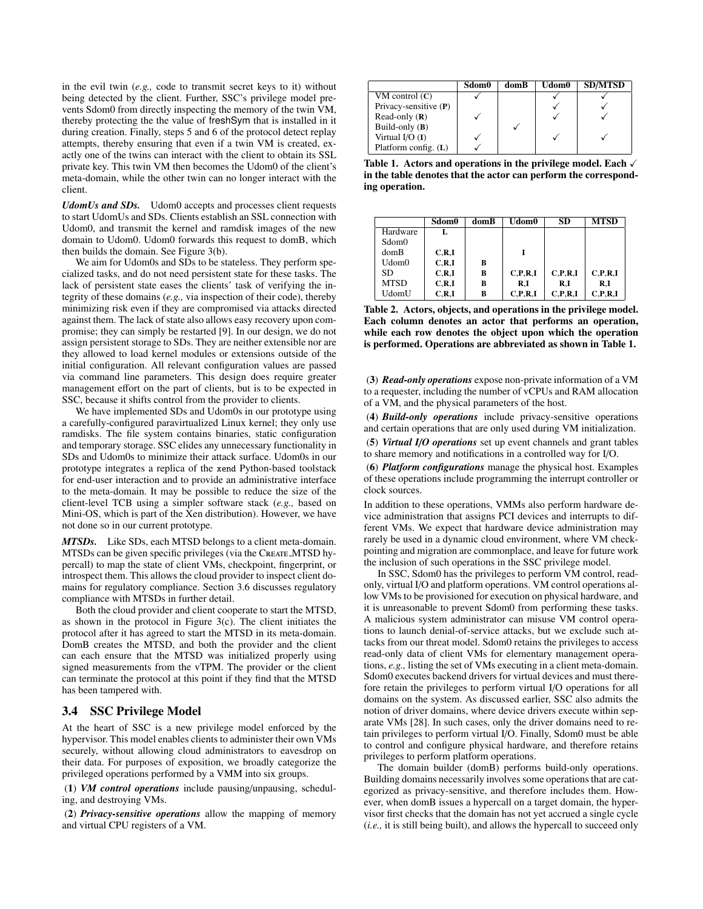in the evil twin (*e.g.,* code to transmit secret keys to it) without being detected by the client. Further, SSC's privilege model prevents Sdom0 from directly inspecting the memory of the twin VM, thereby protecting the the value of freshSym that is installed in it during creation. Finally, steps 5 and 6 of the protocol detect replay attempts, thereby ensuring that even if a twin VM is created, exactly one of the twins can interact with the client to obtain its SSL private key. This twin VM then becomes the Udom0 of the client's meta-domain, while the other twin can no longer interact with the client.

*UdomUs and SDs.* Udom0 accepts and processes client requests to start UdomUs and SDs. Clients establish an SSL connection with Udom0, and transmit the kernel and ramdisk images of the new domain to Udom0. Udom0 forwards this request to domB, which then builds the domain. See Figure [3\(](#page-3-1)b).

We aim for Udom0s and SDs to be stateless. They perform specialized tasks, and do not need persistent state for these tasks. The lack of persistent state eases the clients' task of verifying the integrity of these domains (*e.g.,* via inspection of their code), thereby minimizing risk even if they are compromised via attacks directed against them. The lack of state also allows easy recovery upon compromise; they can simply be restarted [\[9\]](#page-11-23). In our design, we do not assign persistent storage to SDs. They are neither extensible nor are they allowed to load kernel modules or extensions outside of the initial configuration. All relevant configuration values are passed via command line parameters. This design does require greater management effort on the part of clients, but is to be expected in SSC, because it shifts control from the provider to clients.

We have implemented SDs and Udom0s in our prototype using a carefully-configured paravirtualized Linux kernel; they only use ramdisks. The file system contains binaries, static configuration and temporary storage. SSC elides any unnecessary functionality in SDs and Udom0s to minimize their attack surface. Udom0s in our prototype integrates a replica of the xend Python-based toolstack for end-user interaction and to provide an administrative interface to the meta-domain. It may be possible to reduce the size of the client-level TCB using a simpler software stack (*e.g.,* based on Mini-OS, which is part of the Xen distribution). However, we have not done so in our current prototype.

*MTSDs.* Like SDs, each MTSD belongs to a client meta-domain. MTSDs can be given specific privileges (via the CREATE\_MTSD hypercall) to map the state of client VMs, checkpoint, fingerprint, or introspect them. This allows the cloud provider to inspect client domains for regulatory compliance. Section [3.6](#page-5-0) discusses regulatory compliance with MTSDs in further detail.

Both the cloud provider and client cooperate to start the MTSD, as shown in the protocol in Figure [3\(](#page-3-1)c). The client initiates the protocol after it has agreed to start the MTSD in its meta-domain. DomB creates the MTSD, and both the provider and the client can each ensure that the MTSD was initialized properly using signed measurements from the vTPM. The provider or the client can terminate the protocol at this point if they find that the MTSD has been tampered with.

#### 3.4 SSC Privilege Model

At the heart of SSC is a new privilege model enforced by the hypervisor. This model enables clients to administer their own VMs securely, without allowing cloud administrators to eavesdrop on their data. For purposes of exposition, we broadly categorize the privileged operations performed by a VMM into six groups.

(1) *VM control operations* include pausing/unpausing, scheduling, and destroying VMs.

(2) *Privacy-sensitive operations* allow the mapping of memory and virtual CPU registers of a VM.

|                       | Sdom0 | domB | Udom0 | <b>SD/MTSD</b> |
|-----------------------|-------|------|-------|----------------|
| VM control $(C)$      |       |      |       |                |
| Privacy-sensitive (P) |       |      |       |                |
| Read-only $(R)$       |       |      |       |                |
| Build-only $(B)$      |       |      |       |                |
| Virtual I/O (I)       |       |      |       |                |
| Platform config. (L)  |       |      |       |                |

<span id="page-4-0"></span>Table 1. Actors and operations in the privilege model. Each  $\sqrt{ }$ in the table denotes that the actor can perform the corresponding operation.

|             | Sdom0   | domB | Udom0      | <b>SD</b> | <b>MTSD</b> |
|-------------|---------|------|------------|-----------|-------------|
| Hardware    | L       |      |            |           |             |
| Sdom0       |         |      |            |           |             |
| domB        | C, R, I |      | T          |           |             |
| Udom0       | C, R, I | B    |            |           |             |
| SD          | C, R, I | B    | C.P.R.I    | C.P.R.I   | C.P.R.I     |
| <b>MTSD</b> | C, R, I | в    | R,I        | R,I       | R.I         |
| UdomU       | C, R, I | B    | C, P, R, I | C.P.R.I   | C, P, R, I  |

<span id="page-4-1"></span>Table 2. Actors, objects, and operations in the privilege model. Each column denotes an actor that performs an operation, while each row denotes the object upon which the operation is performed. Operations are abbreviated as shown in Table [1.](#page-4-0)

(3) *Read-only operations* expose non-private information of a VM to a requester, including the number of vCPUs and RAM allocation of a VM, and the physical parameters of the host.

(4) *Build-only operations* include privacy-sensitive operations and certain operations that are only used during VM initialization.

(5) *Virtual I*/*O operations* set up event channels and grant tables to share memory and notifications in a controlled way for I/O.

(6) *Platform configurations* manage the physical host. Examples of these operations include programming the interrupt controller or clock sources.

In addition to these operations, VMMs also perform hardware device administration that assigns PCI devices and interrupts to different VMs. We expect that hardware device administration may rarely be used in a dynamic cloud environment, where VM checkpointing and migration are commonplace, and leave for future work the inclusion of such operations in the SSC privilege model.

In SSC, Sdom0 has the privileges to perform VM control, readonly, virtual I/O and platform operations. VM control operations allow VMs to be provisioned for execution on physical hardware, and it is unreasonable to prevent Sdom0 from performing these tasks. A malicious system administrator can misuse VM control operations to launch denial-of-service attacks, but we exclude such attacks from our threat model. Sdom0 retains the privileges to access read-only data of client VMs for elementary management operations, *e.g.,* listing the set of VMs executing in a client meta-domain. Sdom0 executes backend drivers for virtual devices and must therefore retain the privileges to perform virtual I/O operations for all domains on the system. As discussed earlier, SSC also admits the notion of driver domains, where device drivers execute within separate VMs [\[28\]](#page-11-24). In such cases, only the driver domains need to retain privileges to perform virtual I/O. Finally, Sdom0 must be able to control and configure physical hardware, and therefore retains privileges to perform platform operations.

The domain builder (domB) performs build-only operations. Building domains necessarily involves some operations that are categorized as privacy-sensitive, and therefore includes them. However, when domB issues a hypercall on a target domain, the hypervisor first checks that the domain has not yet accrued a single cycle (*i.e.,* it is still being built), and allows the hypercall to succeed only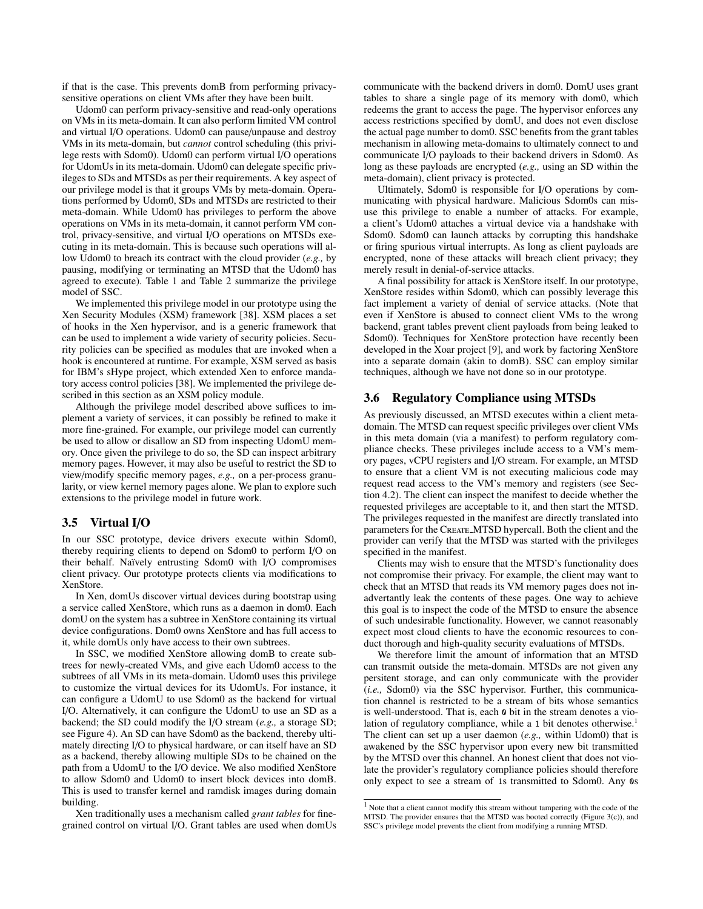if that is the case. This prevents domB from performing privacysensitive operations on client VMs after they have been built.

Udom0 can perform privacy-sensitive and read-only operations on VMs in its meta-domain. It can also perform limited VM control and virtual I/O operations. Udom0 can pause/unpause and destroy VMs in its meta-domain, but *cannot* control scheduling (this privilege rests with Sdom0). Udom0 can perform virtual I/O operations for UdomUs in its meta-domain. Udom0 can delegate specific privileges to SDs and MTSDs as per their requirements. A key aspect of our privilege model is that it groups VMs by meta-domain. Operations performed by Udom0, SDs and MTSDs are restricted to their meta-domain. While Udom0 has privileges to perform the above operations on VMs in its meta-domain, it cannot perform VM control, privacy-sensitive, and virtual I/O operations on MTSDs executing in its meta-domain. This is because such operations will allow Udom0 to breach its contract with the cloud provider (*e.g.,* by pausing, modifying or terminating an MTSD that the Udom0 has agreed to execute). Table [1](#page-4-0) and Table [2](#page-4-1) summarize the privilege model of SSC.

We implemented this privilege model in our prototype using the Xen Security Modules (XSM) framework [\[38\]](#page-11-25). XSM places a set of hooks in the Xen hypervisor, and is a generic framework that can be used to implement a wide variety of security policies. Security policies can be specified as modules that are invoked when a hook is encountered at runtime. For example, XSM served as basis for IBM's sHype project, which extended Xen to enforce mandatory access control policies [\[38\]](#page-11-25). We implemented the privilege described in this section as an XSM policy module.

Although the privilege model described above suffices to implement a variety of services, it can possibly be refined to make it more fine-grained. For example, our privilege model can currently be used to allow or disallow an SD from inspecting UdomU memory. Once given the privilege to do so, the SD can inspect arbitrary memory pages. However, it may also be useful to restrict the SD to view/modify specific memory pages, *e.g.,* on a per-process granularity, or view kernel memory pages alone. We plan to explore such extensions to the privilege model in future work.

#### 3.5 Virtual I/O

In our SSC prototype, device drivers execute within Sdom0, thereby requiring clients to depend on Sdom0 to perform I/O on their behalf. Naïvely entrusting Sdom0 with I/O compromises client privacy. Our prototype protects clients via modifications to XenStore.

In Xen, domUs discover virtual devices during bootstrap using a service called XenStore, which runs as a daemon in dom0. Each domU on the system has a subtree in XenStore containing its virtual device configurations. Dom0 owns XenStore and has full access to it, while domUs only have access to their own subtrees.

In SSC, we modified XenStore allowing domB to create subtrees for newly-created VMs, and give each Udom0 access to the subtrees of all VMs in its meta-domain. Udom0 uses this privilege to customize the virtual devices for its UdomUs. For instance, it can configure a UdomU to use Sdom0 as the backend for virtual I/O. Alternatively, it can configure the UdomU to use an SD as a backend; the SD could modify the I/O stream (*e.g.,* a storage SD; see Figure [4\)](#page-6-2). An SD can have Sdom0 as the backend, thereby ultimately directing I/O to physical hardware, or can itself have an SD as a backend, thereby allowing multiple SDs to be chained on the path from a UdomU to the I/O device. We also modified XenStore to allow Sdom0 and Udom0 to insert block devices into domB. This is used to transfer kernel and ramdisk images during domain building.

Xen traditionally uses a mechanism called *grant tables* for finegrained control on virtual I/O. Grant tables are used when domUs communicate with the backend drivers in dom0. DomU uses grant tables to share a single page of its memory with dom0, which redeems the grant to access the page. The hypervisor enforces any access restrictions specified by domU, and does not even disclose the actual page number to dom0. SSC benefits from the grant tables mechanism in allowing meta-domains to ultimately connect to and communicate I/O payloads to their backend drivers in Sdom0. As long as these payloads are encrypted (*e.g.,* using an SD within the meta-domain), client privacy is protected.

Ultimately, Sdom0 is responsible for I/O operations by communicating with physical hardware. Malicious Sdom0s can misuse this privilege to enable a number of attacks. For example, a client's Udom0 attaches a virtual device via a handshake with Sdom0. Sdom0 can launch attacks by corrupting this handshake or firing spurious virtual interrupts. As long as client payloads are encrypted, none of these attacks will breach client privacy; they merely result in denial-of-service attacks.

A final possibility for attack is XenStore itself. In our prototype, XenStore resides within Sdom0, which can possibly leverage this fact implement a variety of denial of service attacks. (Note that even if XenStore is abused to connect client VMs to the wrong backend, grant tables prevent client payloads from being leaked to Sdom0). Techniques for XenStore protection have recently been developed in the Xoar project [\[9\]](#page-11-23), and work by factoring XenStore into a separate domain (akin to domB). SSC can employ similar techniques, although we have not done so in our prototype.

# <span id="page-5-0"></span>3.6 Regulatory Compliance using MTSDs

As previously discussed, an MTSD executes within a client metadomain. The MTSD can request specific privileges over client VMs in this meta domain (via a manifest) to perform regulatory compliance checks. These privileges include access to a VM's memory pages, vCPU registers and I/O stream. For example, an MTSD to ensure that a client VM is not executing malicious code may request read access to the VM's memory and registers (see Section [4.2\)](#page-7-0). The client can inspect the manifest to decide whether the requested privileges are acceptable to it, and then start the MTSD. The privileges requested in the manifest are directly translated into parameters for the CREATE\_MTSD hypercall. Both the client and the provider can verify that the MTSD was started with the privileges specified in the manifest.

Clients may wish to ensure that the MTSD's functionality does not compromise their privacy. For example, the client may want to check that an MTSD that reads its VM memory pages does not inadvertantly leak the contents of these pages. One way to achieve this goal is to inspect the code of the MTSD to ensure the absence of such undesirable functionality. However, we cannot reasonably expect most cloud clients to have the economic resources to conduct thorough and high-quality security evaluations of MTSDs.

We therefore limit the amount of information that an MTSD can transmit outside the meta-domain. MTSDs are not given any persitent storage, and can only communicate with the provider (*i.e.,* Sdom0) via the SSC hypervisor. Further, this communication channel is restricted to be a stream of bits whose semantics is well-understood. That is, each 0 bit in the stream denotes a vio-lation of regulatory compliance, while a [1](#page-5-1) bit denotes otherwise.<sup>1</sup> The client can set up a user daemon (*e.g.,* within Udom0) that is awakened by the SSC hypervisor upon every new bit transmitted by the MTSD over this channel. An honest client that does not violate the provider's regulatory compliance policies should therefore only expect to see a stream of 1s transmitted to Sdom0. Any 0s

<span id="page-5-1"></span><sup>1</sup> Note that a client cannot modify this stream without tampering with the code of the MTSD. The provider ensures that the MTSD was booted correctly (Figure [3\(](#page-3-1)c)), and SSC's privilege model prevents the client from modifying a running MTSD.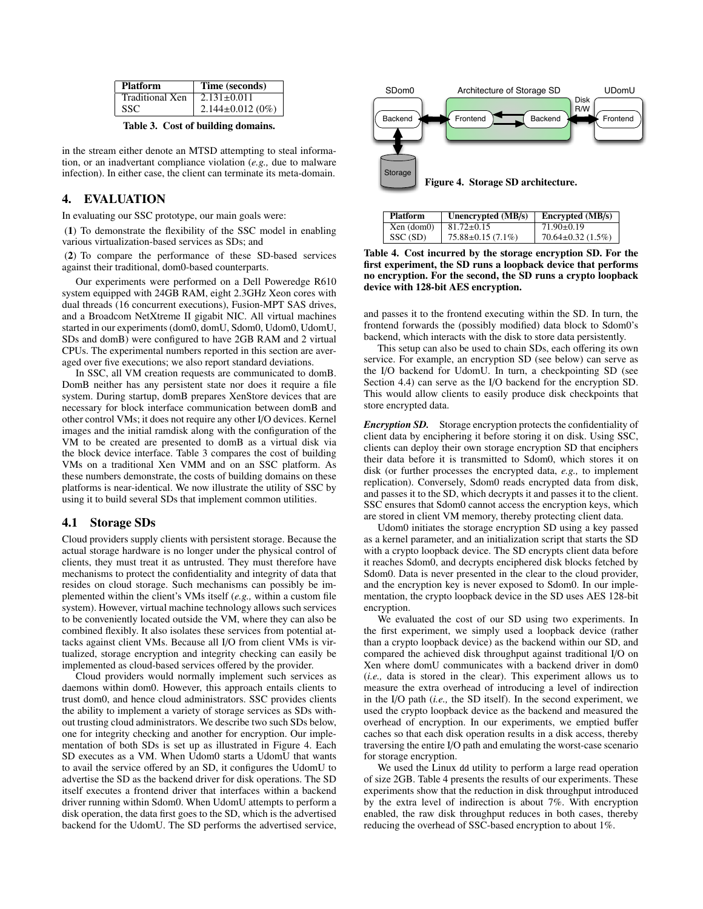| <b>Platform</b>        | Time (seconds)         |
|------------------------|------------------------|
| <b>Traditional Xen</b> | $2.131 \pm 0.011$      |
| SSC.                   | $2.144 \pm 0.012(0\%)$ |

<span id="page-6-3"></span>Table 3. Cost of building domains.

in the stream either denote an MTSD attempting to steal information, or an inadvertant compliance violation (*e.g.,* due to malware infection). In either case, the client can terminate its meta-domain.

# <span id="page-6-0"></span>4. EVALUATION

In evaluating our SSC prototype, our main goals were:

(1) To demonstrate the flexibility of the SSC model in enabling various virtualization-based services as SDs; and

(2) To compare the performance of these SD-based services against their traditional, dom0-based counterparts.

Our experiments were performed on a Dell Poweredge R610 system equipped with 24GB RAM, eight 2.3GHz Xeon cores with dual threads (16 concurrent executions), Fusion-MPT SAS drives, and a Broadcom NetXtreme II gigabit NIC. All virtual machines started in our experiments (dom0, domU, Sdom0, Udom0, UdomU, SDs and domB) were configured to have 2GB RAM and 2 virtual CPUs. The experimental numbers reported in this section are averaged over five executions; we also report standard deviations.

In SSC, all VM creation requests are communicated to domB. DomB neither has any persistent state nor does it require a file system. During startup, domB prepares XenStore devices that are necessary for block interface communication between domB and other control VMs; it does not require any other I/O devices. Kernel images and the initial ramdisk along with the configuration of the VM to be created are presented to domB as a virtual disk via the block device interface. Table [3](#page-6-3) compares the cost of building VMs on a traditional Xen VMM and on an SSC platform. As these numbers demonstrate, the costs of building domains on these platforms is near-identical. We now illustrate the utility of SSC by using it to build several SDs that implement common utilities.

#### <span id="page-6-1"></span>4.1 Storage SDs

Cloud providers supply clients with persistent storage. Because the actual storage hardware is no longer under the physical control of clients, they must treat it as untrusted. They must therefore have mechanisms to protect the confidentiality and integrity of data that resides on cloud storage. Such mechanisms can possibly be implemented within the client's VMs itself (*e.g.,* within a custom file system). However, virtual machine technology allows such services to be conveniently located outside the VM, where they can also be combined flexibly. It also isolates these services from potential attacks against client VMs. Because all I/O from client VMs is virtualized, storage encryption and integrity checking can easily be implemented as cloud-based services offered by the provider.

Cloud providers would normally implement such services as daemons within dom0. However, this approach entails clients to trust dom0, and hence cloud administrators. SSC provides clients the ability to implement a variety of storage services as SDs without trusting cloud administrators. We describe two such SDs below, one for integrity checking and another for encryption. Our implementation of both SDs is set up as illustrated in Figure [4.](#page-6-2) Each SD executes as a VM. When Udom0 starts a UdomU that wants to avail the service offered by an SD, it configures the UdomU to advertise the SD as the backend driver for disk operations. The SD itself executes a frontend driver that interfaces within a backend driver running within Sdom0. When UdomU attempts to perform a disk operation, the data first goes to the SD, which is the advertised backend for the UdomU. The SD performs the advertised service,



<span id="page-6-4"></span><span id="page-6-2"></span>

| <b>Platform</b> | Unencrypted (MB/s)      | Encrypted $(MB/s)$      |
|-----------------|-------------------------|-------------------------|
| Xen (dom0)      | $81.72 \pm 0.15$        | $71.90 \pm 0.19$        |
| SSC (SD)        | $75.88 \pm 0.15(7.1\%)$ | $70.64 \pm 0.32$ (1.5%) |

Table 4. Cost incurred by the storage encryption SD. For the first experiment, the SD runs a loopback device that performs no encryption. For the second, the SD runs a crypto loopback device with 128-bit AES encryption.

and passes it to the frontend executing within the SD. In turn, the frontend forwards the (possibly modified) data block to Sdom0's backend, which interacts with the disk to store data persistently.

This setup can also be used to chain SDs, each offering its own service. For example, an encryption SD (see below) can serve as the I/O backend for UdomU. In turn, a checkpointing SD (see Section [4.4\)](#page-8-0) can serve as the I/O backend for the encryption SD. This would allow clients to easily produce disk checkpoints that store encrypted data.

*Encryption SD.* Storage encryption protects the confidentiality of client data by enciphering it before storing it on disk. Using SSC, clients can deploy their own storage encryption SD that enciphers their data before it is transmitted to Sdom0, which stores it on disk (or further processes the encrypted data, *e.g.,* to implement replication). Conversely, Sdom0 reads encrypted data from disk, and passes it to the SD, which decrypts it and passes it to the client. SSC ensures that Sdom0 cannot access the encryption keys, which are stored in client VM memory, thereby protecting client data.

Udom0 initiates the storage encryption SD using a key passed as a kernel parameter, and an initialization script that starts the SD with a crypto loopback device. The SD encrypts client data before it reaches Sdom0, and decrypts enciphered disk blocks fetched by Sdom0. Data is never presented in the clear to the cloud provider, and the encryption key is never exposed to Sdom0. In our implementation, the crypto loopback device in the SD uses AES 128-bit encryption.

We evaluated the cost of our SD using two experiments. In the first experiment, we simply used a loopback device (rather than a crypto loopback device) as the backend within our SD, and compared the achieved disk throughput against traditional I/O on Xen where domU communicates with a backend driver in dom0 (*i.e.,* data is stored in the clear). This experiment allows us to measure the extra overhead of introducing a level of indirection in the I/O path (*i.e.,* the SD itself). In the second experiment, we used the crypto loopback device as the backend and measured the overhead of encryption. In our experiments, we emptied buffer caches so that each disk operation results in a disk access, thereby traversing the entire I/O path and emulating the worst-case scenario for storage encryption.

We used the Linux dd utility to perform a large read operation of size 2GB. Table [4](#page-6-4) presents the results of our experiments. These experiments show that the reduction in disk throughput introduced by the extra level of indirection is about 7%. With encryption enabled, the raw disk throughput reduces in both cases, thereby reducing the overhead of SSC-based encryption to about 1%.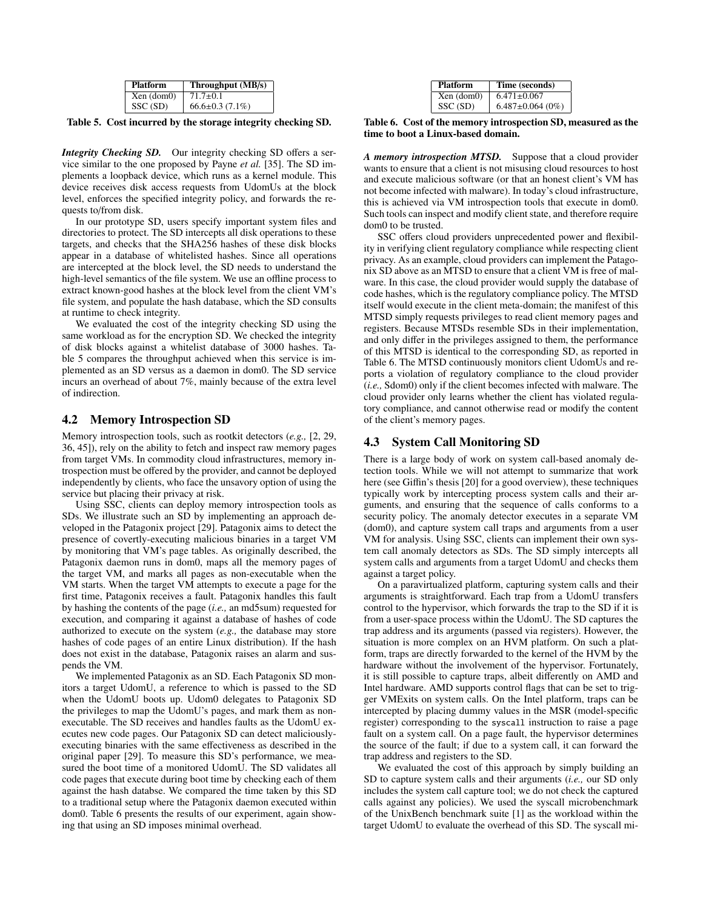<span id="page-7-1"></span>

| <b>Platform</b> | Throughput (MB/s)     |
|-----------------|-----------------------|
| Xen (dom0)      | $71.7 + 0.1$          |
| SSC (SD)        | $66.6 \pm 0.3(7.1\%)$ |

Table 5. Cost incurred by the storage integrity checking SD.

*Integrity Checking SD.* Our integrity checking SD offers a service similar to the one proposed by Payne *et al.* [\[35\]](#page-11-26). The SD implements a loopback device, which runs as a kernel module. This device receives disk access requests from UdomUs at the block level, enforces the specified integrity policy, and forwards the requests to/from disk.

In our prototype SD, users specify important system files and directories to protect. The SD intercepts all disk operations to these targets, and checks that the SHA256 hashes of these disk blocks appear in a database of whitelisted hashes. Since all operations are intercepted at the block level, the SD needs to understand the high-level semantics of the file system. We use an offline process to extract known-good hashes at the block level from the client VM's file system, and populate the hash database, which the SD consults at runtime to check integrity.

We evaluated the cost of the integrity checking SD using the same workload as for the encryption SD. We checked the integrity of disk blocks against a whitelist database of 3000 hashes. Table [5](#page-7-1) compares the throughput achieved when this service is implemented as an SD versus as a daemon in dom0. The SD service incurs an overhead of about 7%, mainly because of the extra level of indirection.

#### <span id="page-7-0"></span>4.2 Memory Introspection SD

Memory introspection tools, such as rootkit detectors (*e.g.,* [\[2,](#page-11-27) [29,](#page-11-28) [36,](#page-11-29) [45\]](#page-11-30)), rely on the ability to fetch and inspect raw memory pages from target VMs. In commodity cloud infrastructures, memory introspection must be offered by the provider, and cannot be deployed independently by clients, who face the unsavory option of using the service but placing their privacy at risk.

Using SSC, clients can deploy memory introspection tools as SDs. We illustrate such an SD by implementing an approach developed in the Patagonix project [\[29\]](#page-11-28). Patagonix aims to detect the presence of covertly-executing malicious binaries in a target VM by monitoring that VM's page tables. As originally described, the Patagonix daemon runs in dom0, maps all the memory pages of the target VM, and marks all pages as non-executable when the VM starts. When the target VM attempts to execute a page for the first time, Patagonix receives a fault. Patagonix handles this fault by hashing the contents of the page (*i.e.,* an md5sum) requested for execution, and comparing it against a database of hashes of code authorized to execute on the system (*e.g.,* the database may store hashes of code pages of an entire Linux distribution). If the hash does not exist in the database, Patagonix raises an alarm and suspends the VM.

We implemented Patagonix as an SD. Each Patagonix SD monitors a target UdomU, a reference to which is passed to the SD when the UdomU boots up. Udom0 delegates to Patagonix SD the privileges to map the UdomU's pages, and mark them as nonexecutable. The SD receives and handles faults as the UdomU executes new code pages. Our Patagonix SD can detect maliciouslyexecuting binaries with the same effectiveness as described in the original paper [\[29\]](#page-11-28). To measure this SD's performance, we measured the boot time of a monitored UdomU. The SD validates all code pages that execute during boot time by checking each of them against the hash databse. We compared the time taken by this SD to a traditional setup where the Patagonix daemon executed within dom0. Table [6](#page-7-2) presents the results of our experiment, again showing that using an SD imposes minimal overhead.

| <b>Platform</b>  | Time (seconds)         |
|------------------|------------------------|
| $Xen$ (dom $0$ ) | $6.471 \pm 0.067$      |
| SSC (SD)         | $6.487 \pm 0.064$ (0%) |

<span id="page-7-2"></span>Table 6. Cost of the memory introspection SD, measured as the time to boot a Linux-based domain.

*A memory introspection MTSD.* Suppose that a cloud provider wants to ensure that a client is not misusing cloud resources to host and execute malicious software (or that an honest client's VM has not become infected with malware). In today's cloud infrastructure, this is achieved via VM introspection tools that execute in dom0. Such tools can inspect and modify client state, and therefore require dom0 to be trusted.

SSC offers cloud providers unprecedented power and flexibility in verifying client regulatory compliance while respecting client privacy. As an example, cloud providers can implement the Patagonix SD above as an MTSD to ensure that a client VM is free of malware. In this case, the cloud provider would supply the database of code hashes, which is the regulatory compliance policy. The MTSD itself would execute in the client meta-domain; the manifest of this MTSD simply requests privileges to read client memory pages and registers. Because MTSDs resemble SDs in their implementation, and only differ in the privileges assigned to them, the performance of this MTSD is identical to the corresponding SD, as reported in Table [6.](#page-7-2) The MTSD continuously monitors client UdomUs and reports a violation of regulatory compliance to the cloud provider (*i.e.,* Sdom0) only if the client becomes infected with malware. The cloud provider only learns whether the client has violated regulatory compliance, and cannot otherwise read or modify the content of the client's memory pages.

# 4.3 System Call Monitoring SD

There is a large body of work on system call-based anomaly detection tools. While we will not attempt to summarize that work here (see Giffin's thesis [\[20\]](#page-11-31) for a good overview), these techniques typically work by intercepting process system calls and their arguments, and ensuring that the sequence of calls conforms to a security policy. The anomaly detector executes in a separate VM (dom0), and capture system call traps and arguments from a user VM for analysis. Using SSC, clients can implement their own system call anomaly detectors as SDs. The SD simply intercepts all system calls and arguments from a target UdomU and checks them against a target policy.

On a paravirtualized platform, capturing system calls and their arguments is straightforward. Each trap from a UdomU transfers control to the hypervisor, which forwards the trap to the SD if it is from a user-space process within the UdomU. The SD captures the trap address and its arguments (passed via registers). However, the situation is more complex on an HVM platform. On such a platform, traps are directly forwarded to the kernel of the HVM by the hardware without the involvement of the hypervisor. Fortunately, it is still possible to capture traps, albeit differently on AMD and Intel hardware. AMD supports control flags that can be set to trigger VMExits on system calls. On the Intel platform, traps can be intercepted by placing dummy values in the MSR (model-specific register) corresponding to the syscall instruction to raise a page fault on a system call. On a page fault, the hypervisor determines the source of the fault; if due to a system call, it can forward the trap address and registers to the SD.

We evaluated the cost of this approach by simply building an SD to capture system calls and their arguments (*i.e.,* our SD only includes the system call capture tool; we do not check the captured calls against any policies). We used the syscall microbenchmark of the UnixBench benchmark suite [\[1\]](#page-11-32) as the workload within the target UdomU to evaluate the overhead of this SD. The syscall mi-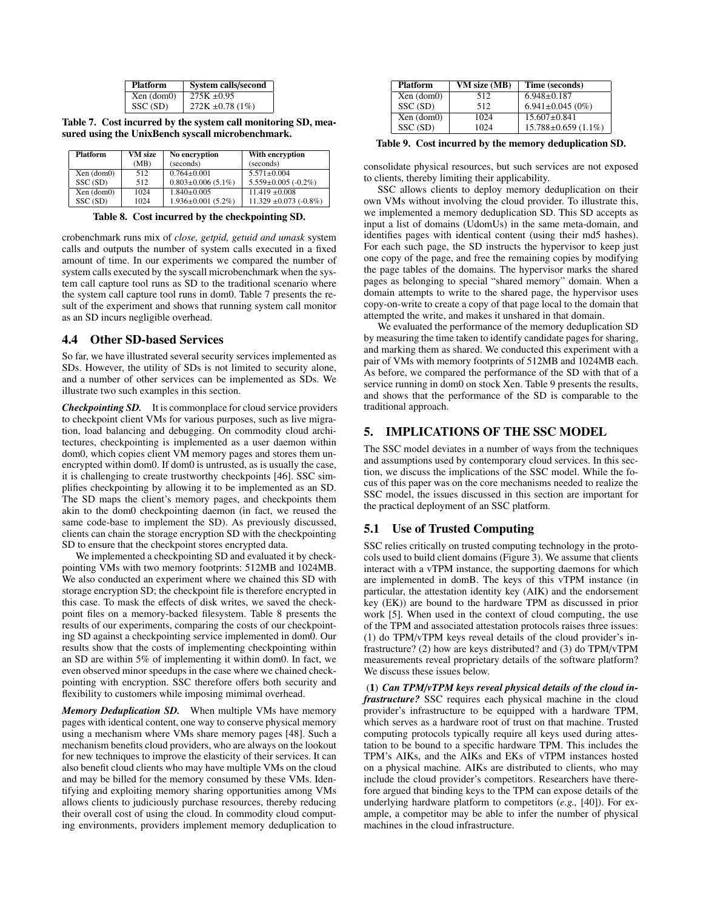<span id="page-8-1"></span>

| <b>Platform</b> | <b>System calls/second</b> |  |
|-----------------|----------------------------|--|
| Xen (dom0)      | $275K \pm 0.95$            |  |
| SSC (SD)        | $272K \pm 0.78$ (1%)       |  |

Table 7. Cost incurred by the system call monitoring SD, measured using the UnixBench syscall microbenchmark.

| <b>Platform</b> | <b>VM</b> size | No encryption            | With encryption            |
|-----------------|----------------|--------------------------|----------------------------|
|                 | (MB)           | (seconds)                | (seconds)                  |
| Xen (dom0)      | 512            | $0.764 \pm 0.001$        | $5.571 + 0.004$            |
| SSC (SD)        | 512            | $0.803 \pm 0.006$ (5.1%) | $5.559 \pm 0.005$ (-0.2%)  |
| Xen (dom0)      | 1024           | $1.840 \pm 0.005$        | $11.419 \pm 0.008$         |
| SSC (SD)        | 1024           | $1.936 \pm 0.001$ (5.2%) | $11.329 \pm 0.073$ (-0.8%) |

<span id="page-8-2"></span>Table 8. Cost incurred by the checkpointing SD.

crobenchmark runs mix of *close, getpid, getuid and umask* system calls and outputs the number of system calls executed in a fixed amount of time. In our experiments we compared the number of system calls executed by the syscall microbenchmark when the system call capture tool runs as SD to the traditional scenario where the system call capture tool runs in dom0. Table [7](#page-8-1) presents the result of the experiment and shows that running system call monitor as an SD incurs negligible overhead.

#### 4.4 Other SD-based Services

So far, we have illustrated several security services implemented as SDs. However, the utility of SDs is not limited to security alone, and a number of other services can be implemented as SDs. We illustrate two such examples in this section.

<span id="page-8-0"></span>*Checkpointing SD.* It is commonplace for cloud service providers to checkpoint client VMs for various purposes, such as live migration, load balancing and debugging. On commodity cloud architectures, checkpointing is implemented as a user daemon within dom0, which copies client VM memory pages and stores them unencrypted within dom0. If dom0 is untrusted, as is usually the case, it is challenging to create trustworthy checkpoints [\[46\]](#page-11-33). SSC simplifies checkpointing by allowing it to be implemented as an SD. The SD maps the client's memory pages, and checkpoints them akin to the dom0 checkpointing daemon (in fact, we reused the same code-base to implement the SD). As previously discussed, clients can chain the storage encryption SD with the checkpointing SD to ensure that the checkpoint stores encrypted data.

We implemented a checkpointing SD and evaluated it by checkpointing VMs with two memory footprints: 512MB and 1024MB. We also conducted an experiment where we chained this SD with storage encryption SD; the checkpoint file is therefore encrypted in this case. To mask the effects of disk writes, we saved the checkpoint files on a memory-backed filesystem. Table [8](#page-8-2) presents the results of our experiments, comparing the costs of our checkpointing SD against a checkpointing service implemented in dom0. Our results show that the costs of implementing checkpointing within an SD are within 5% of implementing it within dom0. In fact, we even observed minor speedups in the case where we chained checkpointing with encryption. SSC therefore offers both security and flexibility to customers while imposing mimimal overhead.

*Memory Deduplication SD.* When multiple VMs have memory pages with identical content, one way to conserve physical memory using a mechanism where VMs share memory pages [\[48\]](#page-11-34). Such a mechanism benefits cloud providers, who are always on the lookout for new techniques to improve the elasticity of their services. It can also benefit cloud clients who may have multiple VMs on the cloud and may be billed for the memory consumed by these VMs. Identifying and exploiting memory sharing opportunities among VMs allows clients to judiciously purchase resources, thereby reducing their overall cost of using the cloud. In commodity cloud computing environments, providers implement memory deduplication to

| <b>Platform</b>  | VM size (MB) | Time (seconds)            |
|------------------|--------------|---------------------------|
| $Xen$ (dom $0$ ) | 512          | $6.948 \pm 0.187$         |
| SSC (SD)         | 512          | $6.941 \pm 0.045$ (0%)    |
| $Xen$ (dom $0$ ) | 1024         | $15.607 \pm 0.841$        |
| SSC (SD)         | 1024         | $15.788 \pm 0.659(1.1\%)$ |

<span id="page-8-3"></span>Table 9. Cost incurred by the memory deduplication SD.

consolidate physical resources, but such services are not exposed to clients, thereby limiting their applicability.

SSC allows clients to deploy memory deduplication on their own VMs without involving the cloud provider. To illustrate this, we implemented a memory deduplication SD. This SD accepts as input a list of domains (UdomUs) in the same meta-domain, and identifies pages with identical content (using their md5 hashes). For each such page, the SD instructs the hypervisor to keep just one copy of the page, and free the remaining copies by modifying the page tables of the domains. The hypervisor marks the shared pages as belonging to special "shared memory" domain. When a domain attempts to write to the shared page, the hypervisor uses copy-on-write to create a copy of that page local to the domain that attempted the write, and makes it unshared in that domain.

We evaluated the performance of the memory deduplication SD by measuring the time taken to identify candidate pages for sharing, and marking them as shared. We conducted this experiment with a pair of VMs with memory footprints of 512MB and 1024MB each. As before, we compared the performance of the SD with that of a service running in dom0 on stock Xen. Table [9](#page-8-3) presents the results, and shows that the performance of the SD is comparable to the traditional approach.

# <span id="page-8-4"></span>5. IMPLICATIONS OF THE SSC MODEL

The SSC model deviates in a number of ways from the techniques and assumptions used by contemporary cloud services. In this section, we discuss the implications of the SSC model. While the focus of this paper was on the core mechanisms needed to realize the SSC model, the issues discussed in this section are important for the practical deployment of an SSC platform.

# 5.1 Use of Trusted Computing

SSC relies critically on trusted computing technology in the protocols used to build client domains (Figure [3\)](#page-3-1). We assume that clients interact with a vTPM instance, the supporting daemons for which are implemented in domB. The keys of this vTPM instance (in particular, the attestation identity key (AIK) and the endorsement key (EK)) are bound to the hardware TPM as discussed in prior work [\[5\]](#page-11-15). When used in the context of cloud computing, the use of the TPM and associated attestation protocols raises three issues: (1) do TPM/vTPM keys reveal details of the cloud provider's infrastructure? (2) how are keys distributed? and (3) do TPM/vTPM measurements reveal proprietary details of the software platform? We discuss these issues below.

(1) *Can TPM*/*vTPM keys reveal physical details of the cloud infrastructure?* SSC requires each physical machine in the cloud provider's infrastructure to be equipped with a hardware TPM, which serves as a hardware root of trust on that machine. Trusted computing protocols typically require all keys used during attestation to be bound to a specific hardware TPM. This includes the TPM's AIKs, and the AIKs and EKs of vTPM instances hosted on a physical machine. AIKs are distributed to clients, who may include the cloud provider's competitors. Researchers have therefore argued that binding keys to the TPM can expose details of the underlying hardware platform to competitors (*e.g.,* [\[40\]](#page-11-20)). For example, a competitor may be able to infer the number of physical machines in the cloud infrastructure.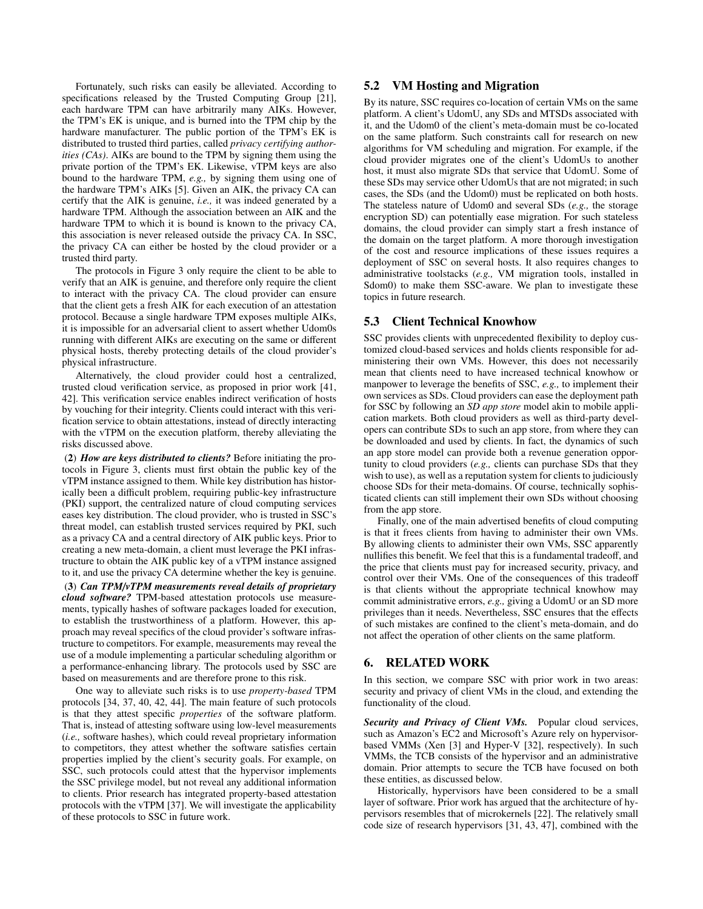Fortunately, such risks can easily be alleviated. According to specifications released by the Trusted Computing Group [\[21\]](#page-11-16), each hardware TPM can have arbitrarily many AIKs. However, the TPM's EK is unique, and is burned into the TPM chip by the hardware manufacturer. The public portion of the TPM's EK is distributed to trusted third parties, called *privacy certifying authorities (CAs)*. AIKs are bound to the TPM by signing them using the private portion of the TPM's EK. Likewise, vTPM keys are also bound to the hardware TPM, *e.g.,* by signing them using one of the hardware TPM's AIKs [\[5\]](#page-11-15). Given an AIK, the privacy CA can certify that the AIK is genuine, *i.e.,* it was indeed generated by a hardware TPM. Although the association between an AIK and the hardware TPM to which it is bound is known to the privacy CA, this association is never released outside the privacy CA. In SSC, the privacy CA can either be hosted by the cloud provider or a trusted third party.

The protocols in Figure [3](#page-3-1) only require the client to be able to verify that an AIK is genuine, and therefore only require the client to interact with the privacy CA. The cloud provider can ensure that the client gets a fresh AIK for each execution of an attestation protocol. Because a single hardware TPM exposes multiple AIKs, it is impossible for an adversarial client to assert whether Udom0s running with different AIKs are executing on the same or different physical hosts, thereby protecting details of the cloud provider's physical infrastructure.

Alternatively, the cloud provider could host a centralized, trusted cloud verification service, as proposed in prior work [\[41,](#page-11-35) [42\]](#page-11-36). This verification service enables indirect verification of hosts by vouching for their integrity. Clients could interact with this verification service to obtain attestations, instead of directly interacting with the vTPM on the execution platform, thereby alleviating the risks discussed above.

(2) *How are keys distributed to clients?* Before initiating the protocols in Figure [3,](#page-3-1) clients must first obtain the public key of the vTPM instance assigned to them. While key distribution has historically been a difficult problem, requiring public-key infrastructure (PKI) support, the centralized nature of cloud computing services eases key distribution. The cloud provider, who is trusted in SSC's threat model, can establish trusted services required by PKI, such as a privacy CA and a central directory of AIK public keys. Prior to creating a new meta-domain, a client must leverage the PKI infrastructure to obtain the AIK public key of a vTPM instance assigned to it, and use the privacy CA determine whether the key is genuine. (3) *Can TPM*/*vTPM measurements reveal details of proprietary cloud software?* TPM-based attestation protocols use measurements, typically hashes of software packages loaded for execution, to establish the trustworthiness of a platform. However, this approach may reveal specifics of the cloud provider's software infrastructure to competitors. For example, measurements may reveal the use of a module implementing a particular scheduling algorithm or a performance-enhancing library. The protocols used by SSC are based on measurements and are therefore prone to this risk.

One way to alleviate such risks is to use *property-based* TPM protocols [\[34,](#page-11-37) [37,](#page-11-38) [40,](#page-11-20) [42,](#page-11-36) [44\]](#page-11-39). The main feature of such protocols is that they attest specific *properties* of the software platform. That is, instead of attesting software using low-level measurements (*i.e.,* software hashes), which could reveal proprietary information to competitors, they attest whether the software satisfies certain properties implied by the client's security goals. For example, on SSC, such protocols could attest that the hypervisor implements the SSC privilege model, but not reveal any additional information to clients. Prior research has integrated property-based attestation protocols with the vTPM [\[37\]](#page-11-38). We will investigate the applicability of these protocols to SSC in future work.

# 5.2 VM Hosting and Migration

By its nature, SSC requires co-location of certain VMs on the same platform. A client's UdomU, any SDs and MTSDs associated with it, and the Udom0 of the client's meta-domain must be co-located on the same platform. Such constraints call for research on new algorithms for VM scheduling and migration. For example, if the cloud provider migrates one of the client's UdomUs to another host, it must also migrate SDs that service that UdomU. Some of these SDs may service other UdomUs that are not migrated; in such cases, the SDs (and the Udom0) must be replicated on both hosts. The stateless nature of Udom0 and several SDs (*e.g.,* the storage encryption SD) can potentially ease migration. For such stateless domains, the cloud provider can simply start a fresh instance of the domain on the target platform. A more thorough investigation of the cost and resource implications of these issues requires a deployment of SSC on several hosts. It also requires changes to administrative toolstacks (*e.g.,* VM migration tools, installed in Sdom0) to make them SSC-aware. We plan to investigate these topics in future research.

# 5.3 Client Technical Knowhow

SSC provides clients with unprecedented flexibility to deploy customized cloud-based services and holds clients responsible for administering their own VMs. However, this does not necessarily mean that clients need to have increased technical knowhow or manpower to leverage the benefits of SSC, *e.g.,* to implement their own services as SDs. Cloud providers can ease the deployment path for SSC by following an *SD app store* model akin to mobile application markets. Both cloud providers as well as third-party developers can contribute SDs to such an app store, from where they can be downloaded and used by clients. In fact, the dynamics of such an app store model can provide both a revenue generation opportunity to cloud providers (*e.g.,* clients can purchase SDs that they wish to use), as well as a reputation system for clients to judiciously choose SDs for their meta-domains. Of course, technically sophisticated clients can still implement their own SDs without choosing from the app store.

Finally, one of the main advertised benefits of cloud computing is that it frees clients from having to administer their own VMs. By allowing clients to administer their own VMs, SSC apparently nullifies this benefit. We feel that this is a fundamental tradeoff, and the price that clients must pay for increased security, privacy, and control over their VMs. One of the consequences of this tradeoff is that clients without the appropriate technical knowhow may commit administrative errors, *e.g.,* giving a UdomU or an SD more privileges than it needs. Nevertheless, SSC ensures that the effects of such mistakes are confined to the client's meta-domain, and do not affect the operation of other clients on the same platform.

#### 6. RELATED WORK

In this section, we compare SSC with prior work in two areas: security and privacy of client VMs in the cloud, and extending the functionality of the cloud.

*Security and Privacy of Client VMs.* Popular cloud services, such as Amazon's EC2 and Microsoft's Azure rely on hypervisorbased VMMs (Xen [\[3\]](#page-11-40) and Hyper-V [\[32\]](#page-11-41), respectively). In such VMMs, the TCB consists of the hypervisor and an administrative domain. Prior attempts to secure the TCB have focused on both these entities, as discussed below.

Historically, hypervisors have been considered to be a small layer of software. Prior work has argued that the architecture of hypervisors resembles that of microkernels [\[22\]](#page-11-42). The relatively small code size of research hypervisors [\[31,](#page-11-43) [43,](#page-11-44) [47\]](#page-11-45), combined with the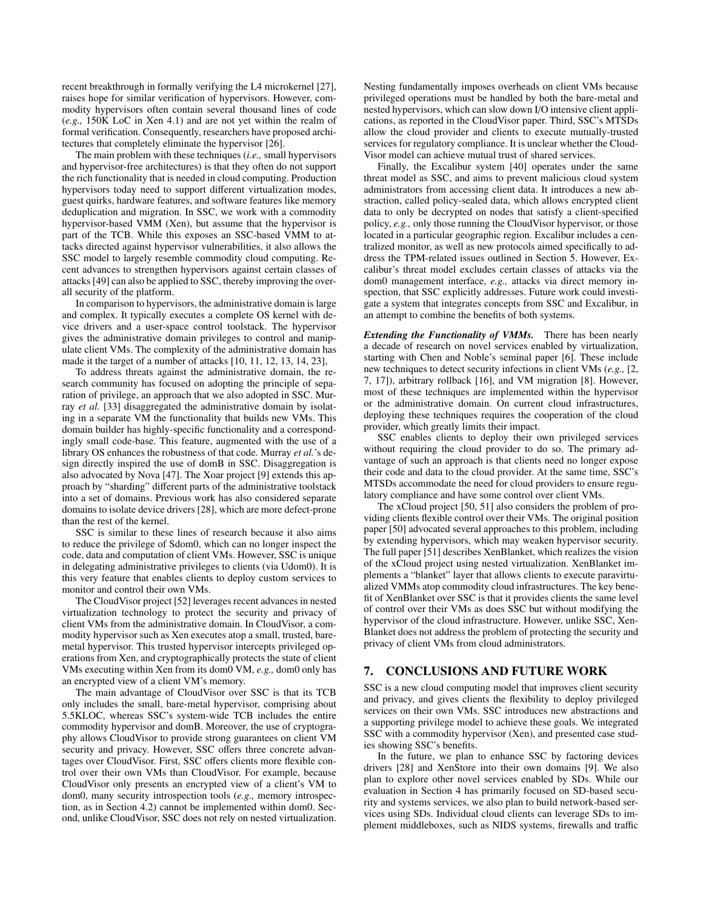recent breakthrough in formally verifying the L4 microkernel [\[27\]](#page-11-46), raises hope for similar verification of hypervisors. However, commodity hypervisors often contain several thousand lines of code (*e.g.,* 150K LoC in Xen 4.1) and are not yet within the realm of formal verification. Consequently, researchers have proposed architectures that completely eliminate the hypervisor [\[26\]](#page-11-19).

The main problem with these techniques (*i.e.,* small hypervisors and hypervisor-free architectures) is that they often do not support the rich functionality that is needed in cloud computing. Production hypervisors today need to support different virtualization modes, guest quirks, hardware features, and software features like memory deduplication and migration. In SSC, we work with a commodity hypervisor-based VMM (Xen), but assume that the hypervisor is part of the TCB. While this exposes an SSC-based VMM to attacks directed against hypervisor vulnerabilities, it also allows the SSC model to largely resemble commodity cloud computing. Recent advances to strengthen hypervisors against certain classes of attacks [\[49\]](#page-11-47) can also be applied to SSC, thereby improving the overall security of the platform.

In comparison to hypervisors, the administrative domain is large and complex. It typically executes a complete OS kernel with device drivers and a user-space control toolstack. The hypervisor gives the administrative domain privileges to control and manipulate client VMs. The complexity of the administrative domain has made it the target of a number of attacks [\[10,](#page-11-0) [11,](#page-11-1) [12,](#page-11-2) [13,](#page-11-3) [14,](#page-11-4) [23\]](#page-11-6),

To address threats against the administrative domain, the research community has focused on adopting the principle of separation of privilege, an approach that we also adopted in SSC. Murray *et al.* [\[33\]](#page-11-18) disaggregated the administrative domain by isolating in a separate VM the functionality that builds new VMs. This domain builder has highly-specific functionality and a correspondingly small code-base. This feature, augmented with the use of a library OS enhances the robustness of that code. Murray *et al.*'s design directly inspired the use of domB in SSC. Disaggregation is also advocated by Nova [\[47\]](#page-11-45). The Xoar project [\[9\]](#page-11-23) extends this approach by "sharding" different parts of the administrative toolstack into a set of domains. Previous work has also considered separate domains to isolate device drivers [\[28\]](#page-11-24), which are more defect-prone than the rest of the kernel.

SSC is similar to these lines of research because it also aims to reduce the privilege of Sdom0, which can no longer inspect the code, data and computation of client VMs. However, SSC is unique in delegating administrative privileges to clients (via Udom0). It is this very feature that enables clients to deploy custom services to monitor and control their own VMs.

The CloudVisor project [\[52\]](#page-11-11) leverages recent advances in nested virtualization technology to protect the security and privacy of client VMs from the administrative domain. In CloudVisor, a commodity hypervisor such as Xen executes atop a small, trusted, baremetal hypervisor. This trusted hypervisor intercepts privileged operations from Xen, and cryptographically protects the state of client VMs executing within Xen from its dom0 VM, *e.g.,* dom0 only has an encrypted view of a client VM's memory.

The main advantage of CloudVisor over SSC is that its TCB only includes the small, bare-metal hypervisor, comprising about 5.5KLOC, whereas SSC's system-wide TCB includes the entire commodity hypervisor and domB. Moreover, the use of cryptography allows CloudVisor to provide strong guarantees on client VM security and privacy. However, SSC offers three concrete advantages over CloudVisor. First, SSC offers clients more flexible control over their own VMs than CloudVisor. For example, because CloudVisor only presents an encrypted view of a client's VM to dom0, many security introspection tools (*e.g.,* memory introspection, as in Section [4.2\)](#page-7-0) cannot be implemented within dom0. Second, unlike CloudVisor, SSC does not rely on nested virtualization.

Nesting fundamentally imposes overheads on client VMs because privileged operations must be handled by both the bare-metal and nested hypervisors, which can slow down I/O intensive client applications, as reported in the CloudVisor paper. Third, SSC's MTSDs allow the cloud provider and clients to execute mutually-trusted services for regulatory compliance. It is unclear whether the Cloud-Visor model can achieve mutual trust of shared services.

Finally, the Excalibur system [\[40\]](#page-11-20) operates under the same threat model as SSC, and aims to prevent malicious cloud system administrators from accessing client data. It introduces a new abstraction, called policy-sealed data, which allows encrypted client data to only be decrypted on nodes that satisfy a client-specified policy, *e.g.,* only those running the CloudVisor hypervisor, or those located in a particular geographic region. Excalibur includes a centralized monitor, as well as new protocols aimed specifically to address the TPM-related issues outlined in Section [5.](#page-8-4) However, Excalibur's threat model excludes certain classes of attacks via the dom0 management interface, *e.g.,* attacks via direct memory inspection, that SSC explicitly addresses. Future work could investigate a system that integrates concepts from SSC and Excalibur, in an attempt to combine the benefits of both systems.

*Extending the Functionality of VMMs.* There has been nearly a decade of research on novel services enabled by virtualization, starting with Chen and Noble's seminal paper [\[6\]](#page-11-7). These include new techniques to detect security infections in client VMs (*e.g.,* [\[2,](#page-11-27) [7,](#page-11-48) [17\]](#page-11-49)), arbitrary rollback [\[16\]](#page-11-50), and VM migration [\[8\]](#page-11-9). However, most of these techniques are implemented within the hypervisor or the administrative domain. On current cloud infrastructures, deploying these techniques requires the cooperation of the cloud provider, which greatly limits their impact.

SSC enables clients to deploy their own privileged services without requiring the cloud provider to do so. The primary advantage of such an approach is that clients need no longer expose their code and data to the cloud provider. At the same time, SSC's MTSDs accommodate the need for cloud providers to ensure regulatory compliance and have some control over client VMs.

The xCloud project [\[50,](#page-11-51) [51\]](#page-11-12) also considers the problem of providing clients flexible control over their VMs. The original position paper [\[50\]](#page-11-51) advocated several approaches to this problem, including by extending hypervisors, which may weaken hypervisor security. The full paper [\[51\]](#page-11-12) describes XenBlanket, which realizes the vision of the xCloud project using nested virtualization. XenBlanket implements a "blanket" layer that allows clients to execute paravirtualized VMMs atop commodity cloud infrastructures. The key benefit of XenBlanket over SSC is that it provides clients the same level of control over their VMs as does SSC but without modifying the hypervisor of the cloud infrastructure. However, unlike SSC, Xen-Blanket does not address the problem of protecting the security and privacy of client VMs from cloud administrators.

#### 7. CONCLUSIONS AND FUTURE WORK

SSC is a new cloud computing model that improves client security and privacy, and gives clients the flexibility to deploy privileged services on their own VMs. SSC introduces new abstractions and a supporting privilege model to achieve these goals. We integrated SSC with a commodity hypervisor (Xen), and presented case studies showing SSC's benefits.

In the future, we plan to enhance SSC by factoring devices drivers [\[28\]](#page-11-24) and XenStore into their own domains [\[9\]](#page-11-23). We also plan to explore other novel services enabled by SDs. While our evaluation in Section [4](#page-6-0) has primarily focused on SD-based security and systems services, we also plan to build network-based services using SDs. Individual cloud clients can leverage SDs to implement middleboxes, such as NIDS systems, firewalls and traffic